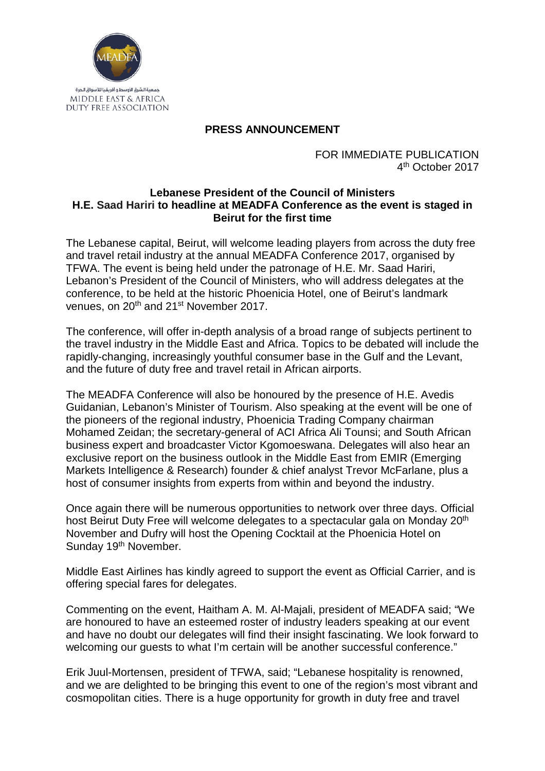

## **PRESS ANNOUNCEMENT**

FOR IMMEDIATE PUBLICATION 4th October 2017

## **Lebanese President of the Council of Ministers H.E. Saad Hariri to headline at MEADFA Conference as the event is staged in Beirut for the first time**

The Lebanese capital, Beirut, will welcome leading players from across the duty free and travel retail industry at the annual MEADFA Conference 2017, organised by TFWA. The event is being held under the patronage of H.E. Mr. Saad Hariri, Lebanon's President of the Council of Ministers, who will address delegates at the conference, to be held at the historic Phoenicia Hotel, one of Beirut's landmark venues, on 20<sup>th</sup> and 21<sup>st</sup> November 2017.

The conference, will offer in-depth analysis of a broad range of subjects pertinent to the travel industry in the Middle East and Africa. Topics to be debated will include the rapidly-changing, increasingly youthful consumer base in the Gulf and the Levant, and the future of duty free and travel retail in African airports.

The MEADFA Conference will also be honoured by the presence of H.E. Avedis Guidanian, Lebanon's Minister of Tourism. Also speaking at the event will be one of the pioneers of the regional industry, Phoenicia Trading Company chairman Mohamed Zeidan; the secretary-general of ACI Africa Ali Tounsi; and South African business expert and broadcaster Victor Kgomoeswana. Delegates will also hear an exclusive report on the business outlook in the Middle East from EMIR (Emerging Markets Intelligence & Research) founder & chief analyst Trevor McFarlane, plus a host of consumer insights from experts from within and beyond the industry.

Once again there will be numerous opportunities to network over three days. Official host Beirut Duty Free will welcome delegates to a spectacular gala on Monday 20<sup>th</sup> November and Dufry will host the Opening Cocktail at the Phoenicia Hotel on Sunday 19<sup>th</sup> November.

Middle East Airlines has kindly agreed to support the event as Official Carrier, and is offering special fares for delegates.

Commenting on the event, Haitham A. M. Al-Majali, president of MEADFA said; "We are honoured to have an esteemed roster of industry leaders speaking at our event and have no doubt our delegates will find their insight fascinating. We look forward to welcoming our guests to what I'm certain will be another successful conference."

Erik Juul-Mortensen, president of TFWA, said; "Lebanese hospitality is renowned, and we are delighted to be bringing this event to one of the region's most vibrant and cosmopolitan cities. There is a huge opportunity for growth in duty free and travel